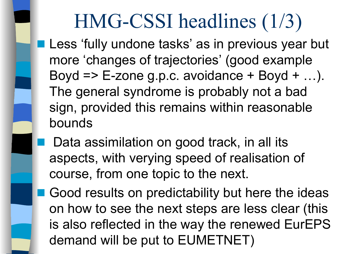## HMG-CSSI headlines (1/3)

- Less 'fully undone tasks' as in previous year but more 'changes of trajectories' (good example Boyd  $\Rightarrow$  E-zone g.p.c. avoidance  $+$  Boyd  $+$  ...). The general syndrome is probably not a bad sign, provided this remains within reasonable bounds
- Data assimilation on good track, in all its aspects, with verying speed of realisation of course, from one topic to the next.
- Good results on predictability but here the ideas on how to see the next steps are less clear (this is also reflected in the way the renewed EurEPS demand will be put to EUMETNET)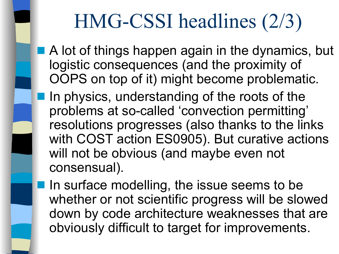## HMG-CSSI headlines (2/3)

- A lot of things happen again in the dynamics, but logistic consequences (and the proximity of OOPS on top of it) might become problematic.
- In physics, understanding of the roots of the problems at so-called 'convection permitting' resolutions progresses (also thanks to the links with COST action ES0905). But curative actions will not be obvious (and maybe even not consensual).
- In surface modelling, the issue seems to be whether or not scientific progress will be slowed down by code architecture weaknesses that are obviously difficult to target for improvements.